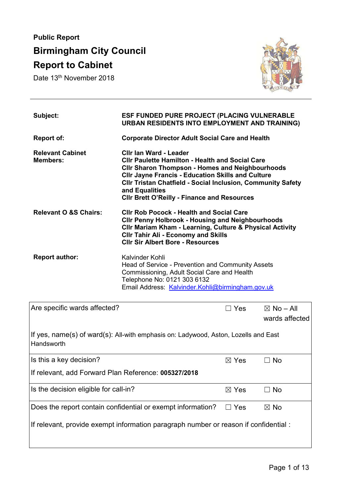# **Public Report Birmingham City Council Report to Cabinet**

Date 13<sup>th</sup> November 2018



| Subject:                                   | <b>ESF FUNDED PURE PROJECT (PLACING VULNERABLE</b><br><b>URBAN RESIDENTS INTO EMPLOYMENT AND TRAINING)</b>                                                                                                                                                                                                                                           |
|--------------------------------------------|------------------------------------------------------------------------------------------------------------------------------------------------------------------------------------------------------------------------------------------------------------------------------------------------------------------------------------------------------|
| <b>Report of:</b>                          | <b>Corporate Director Adult Social Care and Health</b>                                                                                                                                                                                                                                                                                               |
| <b>Relevant Cabinet</b><br><b>Members:</b> | Cilr lan Ward - Leader<br><b>CIIr Paulette Hamilton - Health and Social Care</b><br><b>CIIr Sharon Thompson - Homes and Neighbourhoods</b><br><b>CIIr Jayne Francis - Education Skills and Culture</b><br><b>CIIr Tristan Chatfield - Social Inclusion, Community Safety</b><br>and Equalities<br><b>CIIr Brett O'Reilly - Finance and Resources</b> |
| <b>Relevant O &amp;S Chairs:</b>           | <b>CIIr Rob Pocock - Health and Social Care</b><br><b>CIIr Penny Holbrook - Housing and Neighbourhoods</b><br><b>CIIr Mariam Kham - Learning, Culture &amp; Physical Activity</b><br><b>CIIr Tahir Ali - Economy and Skills</b><br><b>CIIr Sir Albert Bore - Resources</b>                                                                           |
| <b>Report author:</b>                      | Kalvinder Kohli<br>Head of Service - Prevention and Community Assets<br>Commissioning, Adult Social Care and Health<br>Telephone No: 0121 303 6132<br>Email Address: Kalvinder.Kohli@birmingham.gov.uk                                                                                                                                               |

| Are specific wards affected?                                                                        | $\Box$ Yes      | $\boxtimes$ No – All<br>wards affected |  |
|-----------------------------------------------------------------------------------------------------|-----------------|----------------------------------------|--|
| If yes, name(s) of ward(s): All-with emphasis on: Ladywood, Aston, Lozells and East<br>l Handsworth |                 |                                        |  |
| Is this a key decision?                                                                             | $\boxtimes$ Yes | $\Box$ No                              |  |
| If relevant, add Forward Plan Reference: 005327/2018                                                |                 |                                        |  |
| Is the decision eligible for call-in?                                                               | $\boxtimes$ Yes | $\Box$ No                              |  |
| Does the report contain confidential or exempt information?                                         | Yes             | $\boxtimes$ No                         |  |
| If relevant, provide exempt information paragraph number or reason if confidential:                 |                 |                                        |  |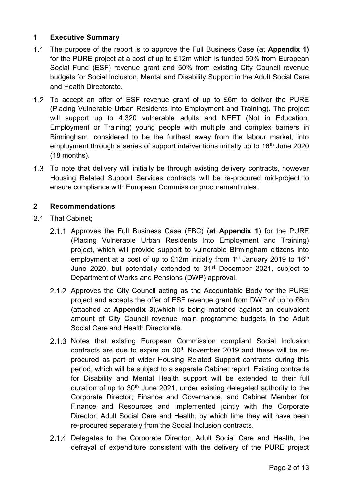# **1 Executive Summary**

- The purpose of the report is to approve the Full Business Case (at **Appendix 1)** for the PURE project at a cost of up to £12m which is funded 50% from European Social Fund (ESF) revenue grant and 50% from existing City Council revenue budgets for Social Inclusion, Mental and Disability Support in the Adult Social Care and Health Directorate.
- 1.2 To accept an offer of ESF revenue grant of up to £6m to deliver the PURE (Placing Vulnerable Urban Residents into Employment and Training). The project will support up to 4,320 vulnerable adults and NEET (Not in Education, Employment or Training) young people with multiple and complex barriers in Birmingham, considered to be the furthest away from the labour market, into employment through a series of support interventions initially up to 16<sup>th</sup> June 2020 (18 months).
- 1.3 To note that delivery will initially be through existing delivery contracts, however Housing Related Support Services contracts will be re-procured mid-project to ensure compliance with European Commission procurement rules.

# **2 Recommendations**

- 2.1 That Cabinet;
	- Approves the Full Business Case (FBC) (**at Appendix 1**) for the PURE (Placing Vulnerable Urban Residents Into Employment and Training) project, which will provide support to vulnerable Birmingham citizens into employment at a cost of up to £12m initially from  $1<sup>st</sup>$  January 2019 to 16<sup>th</sup> June 2020, but potentially extended to 31<sup>st</sup> December 2021, subject to Department of Works and Pensions (DWP) approval.
	- 2.1.2 Approves the City Council acting as the Accountable Body for the PURE project and accepts the offer of ESF revenue grant from DWP of up to £6m (attached at **Appendix 3**),which is being matched against an equivalent amount of City Council revenue main programme budgets in the Adult Social Care and Health Directorate.
	- 2.1.3 Notes that existing European Commission compliant Social Inclusion contracts are due to expire on 30<sup>th</sup> November 2019 and these will be reprocured as part of wider Housing Related Support contracts during this period, which will be subject to a separate Cabinet report. Existing contracts for Disability and Mental Health support will be extended to their full duration of up to  $30<sup>th</sup>$  June 2021, under existing delegated authority to the Corporate Director; Finance and Governance, and Cabinet Member for Finance and Resources and implemented jointly with the Corporate Director; Adult Social Care and Health, by which time they will have been re-procured separately from the Social Inclusion contracts.
	- 2.1.4 Delegates to the Corporate Director, Adult Social Care and Health, the defrayal of expenditure consistent with the delivery of the PURE project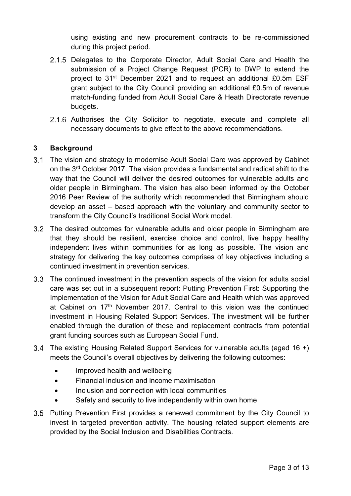using existing and new procurement contracts to be re-commissioned during this project period.

- 2.1.5 Delegates to the Corporate Director, Adult Social Care and Health the submission of a Project Change Request (PCR) to DWP to extend the project to 31<sup>st</sup> December 2021 and to request an additional £0.5m ESF grant subject to the City Council providing an additional £0.5m of revenue match-funding funded from Adult Social Care & Heath Directorate revenue budgets.
- 2.1.6 Authorises the City Solicitor to negotiate, execute and complete all necessary documents to give effect to the above recommendations.

# **3 Background**

- The vision and strategy to modernise Adult Social Care was approved by Cabinet on the 3rd October 2017. The vision provides a fundamental and radical shift to the way that the Council will deliver the desired outcomes for vulnerable adults and older people in Birmingham. The vision has also been informed by the October 2016 Peer Review of the authority which recommended that Birmingham should develop an asset – based approach with the voluntary and community sector to transform the City Council's traditional Social Work model.
- 3.2 The desired outcomes for vulnerable adults and older people in Birmingham are that they should be resilient, exercise choice and control, live happy healthy independent lives within communities for as long as possible. The vision and strategy for delivering the key outcomes comprises of key objectives including a continued investment in prevention services.
- The continued investment in the prevention aspects of the vision for adults social care was set out in a subsequent report: Putting Prevention First: Supporting the Implementation of the Vision for Adult Social Care and Health which was approved at Cabinet on  $17<sup>th</sup>$  November 2017. Central to this vision was the continued investment in Housing Related Support Services. The investment will be further enabled through the duration of these and replacement contracts from potential grant funding sources such as European Social Fund.
- The existing Housing Related Support Services for vulnerable adults (aged 16 +) meets the Council's overall objectives by delivering the following outcomes:
	- Improved health and wellbeing
	- Financial inclusion and income maximisation
	- Inclusion and connection with local communities
	- Safety and security to live independently within own home
- 3.5 Putting Prevention First provides a renewed commitment by the City Council to invest in targeted prevention activity. The housing related support elements are provided by the Social Inclusion and Disabilities Contracts.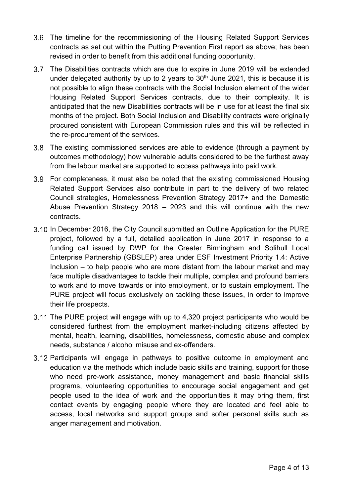- The timeline for the recommissioning of the Housing Related Support Services contracts as set out within the Putting Prevention First report as above; has been revised in order to benefit from this additional funding opportunity.
- The Disabilities contracts which are due to expire in June 2019 will be extended under delegated authority by up to 2 years to  $30<sup>th</sup>$  June 2021, this is because it is not possible to align these contracts with the Social Inclusion element of the wider Housing Related Support Services contracts, due to their complexity. It is anticipated that the new Disabilities contracts will be in use for at least the final six months of the project. Both Social Inclusion and Disability contracts were originally procured consistent with European Commission rules and this will be reflected in the re-procurement of the services.
- The existing commissioned services are able to evidence (through a payment by outcomes methodology) how vulnerable adults considered to be the furthest away from the labour market are supported to access pathways into paid work.
- For completeness, it must also be noted that the existing commissioned Housing Related Support Services also contribute in part to the delivery of two related Council strategies, Homelessness Prevention Strategy 2017+ and the Domestic Abuse Prevention Strategy 2018 – 2023 and this will continue with the new contracts.
- 3.10 In December 2016, the City Council submitted an Outline Application for the PURE project, followed by a full, detailed application in June 2017 in response to a funding call issued by DWP for the Greater Birmingham and Solihull Local Enterprise Partnership (GBSLEP) area under ESF Investment Priority 1.4: Active Inclusion – to help people who are more distant from the labour market and may face multiple disadvantages to tackle their multiple, complex and profound barriers to work and to move towards or into employment, or to sustain employment. The PURE project will focus exclusively on tackling these issues, in order to improve their life prospects.
- 3.11 The PURE project will engage with up to 4,320 project participants who would be considered furthest from the employment market-including citizens affected by mental, health, learning, disabilities, homelessness, domestic abuse and complex needs, substance / alcohol misuse and ex-offenders.
- 3.12 Participants will engage in pathways to positive outcome in employment and education via the methods which include basic skills and training, support for those who need pre-work assistance, money management and basic financial skills programs, volunteering opportunities to encourage social engagement and get people used to the idea of work and the opportunities it may bring them, first contact events by engaging people where they are located and feel able to access, local networks and support groups and softer personal skills such as anger management and motivation.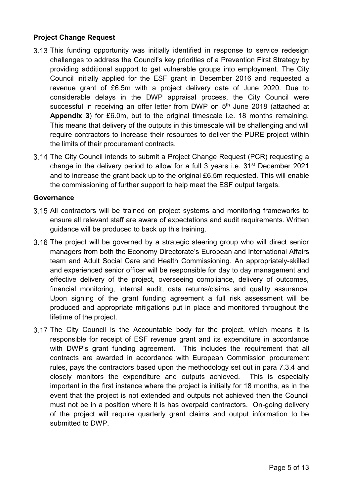#### **Project Change Request**

- 3.13 This funding opportunity was initially identified in response to service redesign challenges to address the Council's key priorities of a Prevention First Strategy by providing additional support to get vulnerable groups into employment. The City Council initially applied for the ESF grant in December 2016 and requested a revenue grant of £6.5m with a project delivery date of June 2020. Due to considerable delays in the DWP appraisal process, the City Council were successful in receiving an offer letter from DWP on 5<sup>th</sup> June 2018 (attached at **Appendix 3**) for £6.0m, but to the original timescale i.e. 18 months remaining. This means that delivery of the outputs in this timescale will be challenging and will require contractors to increase their resources to deliver the PURE project within the limits of their procurement contracts.
- 3.14 The City Council intends to submit a Project Change Request (PCR) requesting a change in the delivery period to allow for a full 3 years i.e.  $31<sup>st</sup>$  December 2021 and to increase the grant back up to the original £6.5m requested. This will enable the commissioning of further support to help meet the ESF output targets.

#### **Governance**

- 3.15 All contractors will be trained on project systems and monitoring frameworks to ensure all relevant staff are aware of expectations and audit requirements. Written guidance will be produced to back up this training.
- 3.16 The project will be governed by a strategic steering group who will direct senior managers from both the Economy Directorate's European and International Affairs team and Adult Social Care and Health Commissioning. An appropriately-skilled and experienced senior officer will be responsible for day to day management and effective delivery of the project, overseeing compliance, delivery of outcomes, financial monitoring, internal audit, data returns/claims and quality assurance. Upon signing of the grant funding agreement a full risk assessment will be produced and appropriate mitigations put in place and monitored throughout the lifetime of the project.
- 3.17 The City Council is the Accountable body for the project, which means it is responsible for receipt of ESF revenue grant and its expenditure in accordance with DWP's grant funding agreement. This includes the requirement that all contracts are awarded in accordance with European Commission procurement rules, pays the contractors based upon the methodology set out in para 7.3.4 and closely monitors the expenditure and outputs achieved. This is especially important in the first instance where the project is initially for 18 months, as in the event that the project is not extended and outputs not achieved then the Council must not be in a position where it is has overpaid contractors. On-going delivery of the project will require quarterly grant claims and output information to be submitted to DWP.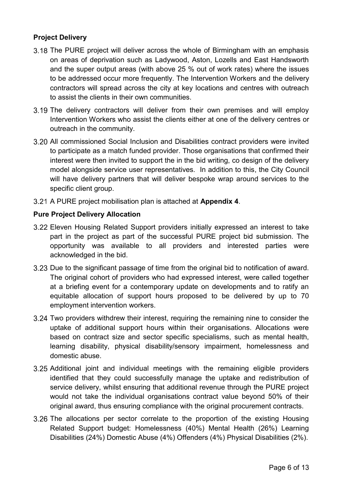#### **Project Delivery**

- 3.18 The PURE project will deliver across the whole of Birmingham with an emphasis on areas of deprivation such as Ladywood, Aston, Lozells and East Handsworth and the super output areas (with above 25 % out of work rates) where the issues to be addressed occur more frequently. The Intervention Workers and the delivery contractors will spread across the city at key locations and centres with outreach to assist the clients in their own communities.
- 3.19 The delivery contractors will deliver from their own premises and will employ Intervention Workers who assist the clients either at one of the delivery centres or outreach in the community.
- All commissioned Social Inclusion and Disabilities contract providers were invited to participate as a match funded provider. Those organisations that confirmed their interest were then invited to support the in the bid writing, co design of the delivery model alongside service user representatives. In addition to this, the City Council will have delivery partners that will deliver bespoke wrap around services to the specific client group.
- A PURE project mobilisation plan is attached at **Appendix 4**.

#### **Pure Project Delivery Allocation**

- Eleven Housing Related Support providers initially expressed an interest to take part in the project as part of the successful PURE project bid submission. The opportunity was available to all providers and interested parties were acknowledged in the bid.
- 3.23 Due to the significant passage of time from the original bid to notification of award. The original cohort of providers who had expressed interest, were called together at a briefing event for a contemporary update on developments and to ratify an equitable allocation of support hours proposed to be delivered by up to 70 employment intervention workers.
- 3.24 Two providers withdrew their interest, requiring the remaining nine to consider the uptake of additional support hours within their organisations. Allocations were based on contract size and sector specific specialisms, such as mental health, learning disability, physical disability/sensory impairment, homelessness and domestic abuse.
- 3.25 Additional joint and individual meetings with the remaining eligible providers identified that they could successfully manage the uptake and redistribution of service delivery, whilst ensuring that additional revenue through the PURE project would not take the individual organisations contract value beyond 50% of their original award, thus ensuring compliance with the original procurement contracts.
- 3.26 The allocations per sector correlate to the proportion of the existing Housing Related Support budget: Homelessness (40%) Mental Health (26%) Learning Disabilities (24%) Domestic Abuse (4%) Offenders (4%) Physical Disabilities (2%).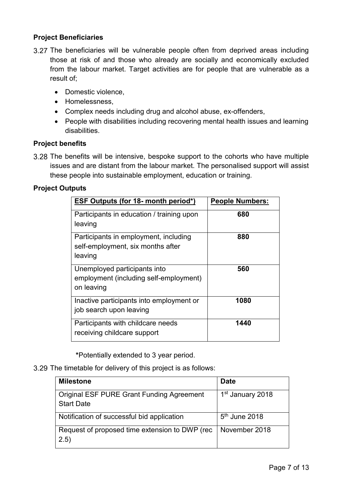#### **Project Beneficiaries**

- 3.27 The beneficiaries will be vulnerable people often from deprived areas including those at risk of and those who already are socially and economically excluded from the labour market. Target activities are for people that are vulnerable as a result of;
	- Domestic violence.
	- Homelessness.
	- Complex needs including drug and alcohol abuse, ex-offenders,
	- People with disabilities including recovering mental health issues and learning disabilities.

#### **Project benefits**

3.28 The benefits will be intensive, bespoke support to the cohorts who have multiple issues and are distant from the labour market. The personalised support will assist these people into sustainable employment, education or training.

#### **Project Outputs**

| <b>ESF Outputs (for 18- month period*)</b>                                            | <b>People Numbers:</b> |
|---------------------------------------------------------------------------------------|------------------------|
| Participants in education / training upon<br>leaving                                  | 680                    |
| Participants in employment, including<br>self-employment, six months after<br>leaving | 880                    |
| Unemployed participants into<br>employment (including self-employment)<br>on leaving  | 560                    |
| Inactive participants into employment or<br>job search upon leaving                   | 1080                   |
| Participants with childcare needs<br>receiving childcare support                      | 1440                   |

 **\***Potentially extended to 3 year period.

3.29 The timetable for delivery of this project is as follows:

| <b>Milestone</b>                                                      | <b>Date</b>                  |
|-----------------------------------------------------------------------|------------------------------|
| <b>Original ESF PURE Grant Funding Agreement</b><br><b>Start Date</b> | 1 <sup>st</sup> January 2018 |
| Notification of successful bid application                            | $5th$ June 2018              |
| Request of proposed time extension to DWP (rec<br>(2.5)               | November 2018                |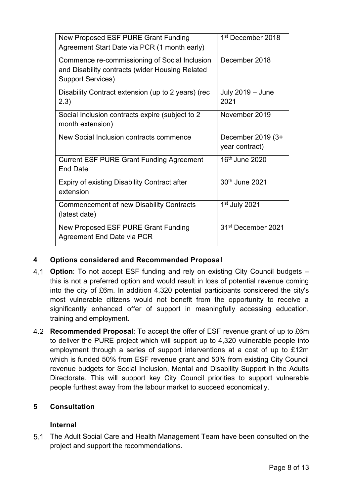| New Proposed ESF PURE Grant Funding<br>Agreement Start Date via PCR (1 month early)                                          | 1 <sup>st</sup> December 2018       |
|------------------------------------------------------------------------------------------------------------------------------|-------------------------------------|
| Commence re-commissioning of Social Inclusion<br>and Disability contracts (wider Housing Related<br><b>Support Services)</b> | December 2018                       |
| Disability Contract extension (up to 2 years) (rec<br>2.3)                                                                   | July 2019 - June<br>2021            |
| Social Inclusion contracts expire (subject to 2)<br>month extension)                                                         | November 2019                       |
| New Social Inclusion contracts commence                                                                                      | December 2019 (3+<br>year contract) |
| <b>Current ESF PURE Grant Funding Agreement</b><br><b>End Date</b>                                                           | 16 <sup>th</sup> June 2020          |
| Expiry of existing Disability Contract after<br>extension                                                                    | 30th June 2021                      |
| <b>Commencement of new Disability Contracts</b><br>(latest date)                                                             | 1 <sup>st</sup> July 2021           |
| New Proposed ESF PURE Grant Funding<br>Agreement End Date via PCR                                                            | 31 <sup>st</sup> December 2021      |

#### **4 Options considered and Recommended Proposal**

- **Option**: To not accept ESF funding and rely on existing City Council budgets this is not a preferred option and would result in loss of potential revenue coming into the city of £6m. In addition 4,320 potential participants considered the city's most vulnerable citizens would not benefit from the opportunity to receive a significantly enhanced offer of support in meaningfully accessing education, training and employment.
- **Recommended Proposal**: To accept the offer of ESF revenue grant of up to £6m to deliver the PURE project which will support up to 4,320 vulnerable people into employment through a series of support interventions at a cost of up to £12m which is funded 50% from ESF revenue grant and 50% from existing City Council revenue budgets for Social Inclusion, Mental and Disability Support in the Adults Directorate. This will support key City Council priorities to support vulnerable people furthest away from the labour market to succeed economically.

# **5 Consultation**

#### **Internal**

5.1 The Adult Social Care and Health Management Team have been consulted on the project and support the recommendations.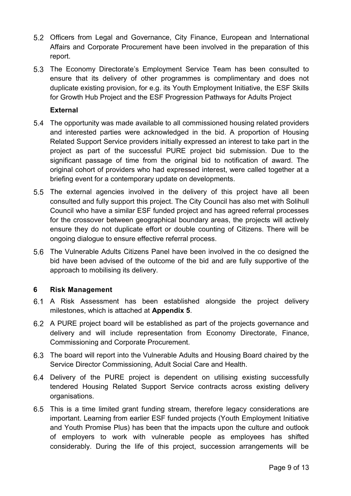- Officers from Legal and Governance, City Finance, European and International Affairs and Corporate Procurement have been involved in the preparation of this report.
- 5.3 The Economy Directorate's Employment Service Team has been consulted to ensure that its delivery of other programmes is complimentary and does not duplicate existing provision, for e.g. its Youth Employment Initiative, the ESF Skills for Growth Hub Project and the ESF Progression Pathways for Adults Project

#### **External**

- The opportunity was made available to all commissioned housing related providers and interested parties were acknowledged in the bid. A proportion of Housing Related Support Service providers initially expressed an interest to take part in the project as part of the successful PURE project bid submission. Due to the significant passage of time from the original bid to notification of award. The original cohort of providers who had expressed interest, were called together at a briefing event for a contemporary update on developments.
- 5.5 The external agencies involved in the delivery of this project have all been consulted and fully support this project. The City Council has also met with Solihull Council who have a similar ESF funded project and has agreed referral processes for the crossover between geographical boundary areas, the projects will actively ensure they do not duplicate effort or double counting of Citizens. There will be ongoing dialogue to ensure effective referral process.
- The Vulnerable Adults Citizens Panel have been involved in the co designed the bid have been advised of the outcome of the bid and are fully supportive of the approach to mobilising its delivery.

#### **6 Risk Management**

- A Risk Assessment has been established alongside the project delivery milestones, which is attached at **Appendix 5**.
- A PURE project board will be established as part of the projects governance and delivery and will include representation from Economy Directorate, Finance, Commissioning and Corporate Procurement.
- The board will report into the Vulnerable Adults and Housing Board chaired by the Service Director Commissioning, Adult Social Care and Health.
- Delivery of the PURE project is dependent on utilising existing successfully tendered Housing Related Support Service contracts across existing delivery organisations.
- This is a time limited grant funding stream, therefore legacy considerations are important. Learning from earlier ESF funded projects (Youth Employment Initiative and Youth Promise Plus) has been that the impacts upon the culture and outlook of employers to work with vulnerable people as employees has shifted considerably. During the life of this project, succession arrangements will be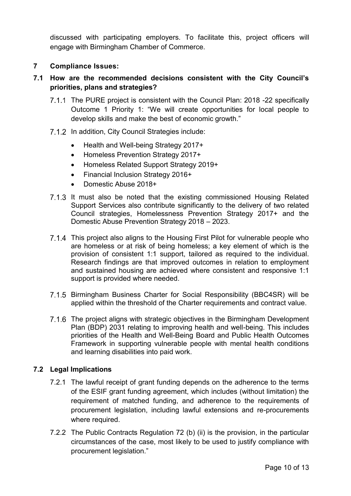discussed with participating employers. To facilitate this, project officers will engage with Birmingham Chamber of Commerce.

## **7 Compliance Issues:**

# **7.1 How are the recommended decisions consistent with the City Council's priorities, plans and strategies?**

- The PURE project is consistent with the Council Plan: 2018 -22 specifically Outcome 1 Priority 1: "We will create opportunities for local people to develop skills and make the best of economic growth."
- 7.1.2 In addition, City Council Strategies include:
	- Health and Well-being Strategy 2017+
	- Homeless Prevention Strategy 2017+
	- Homeless Related Support Strategy 2019+
	- Financial Inclusion Strategy 2016+
	- Domestic Abuse 2018+
- 7.1.3 It must also be noted that the existing commissioned Housing Related Support Services also contribute significantly to the delivery of two related Council strategies, Homelessness Prevention Strategy 2017+ and the Domestic Abuse Prevention Strategy 2018 – 2023.
- 7.1.4 This project also aligns to the Housing First Pilot for vulnerable people who are homeless or at risk of being homeless; a key element of which is the provision of consistent 1:1 support, tailored as required to the individual. Research findings are that improved outcomes in relation to employment and sustained housing are achieved where consistent and responsive 1:1 support is provided where needed.
- 7.1.5 Birmingham Business Charter for Social Responsibility (BBC4SR) will be applied within the threshold of the Charter requirements and contract value.
- The project aligns with strategic objectives in the Birmingham Development Plan (BDP) 2031 relating to improving health and well-being. This includes priorities of the Health and Well-Being Board and Public Health Outcomes Framework in supporting vulnerable people with mental health conditions and learning disabilities into paid work.

# **7.2 Legal Implications**

- 7.2.1 The lawful receipt of grant funding depends on the adherence to the terms of the ESIF grant funding agreement, which includes (without limitation) the requirement of matched funding, and adherence to the requirements of procurement legislation, including lawful extensions and re-procurements where required.
- 7.2.2 The Public Contracts Regulation 72 (b) (ii) is the provision, in the particular circumstances of the case, most likely to be used to justify compliance with procurement legislation."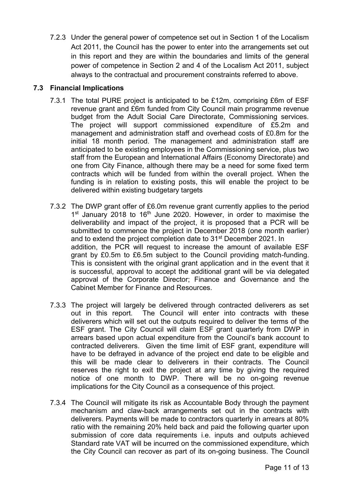7.2.3 Under the general power of competence set out in Section 1 of the Localism Act 2011, the Council has the power to enter into the arrangements set out in this report and they are within the boundaries and limits of the general power of competence in Section 2 and 4 of the Localism Act 2011, subject always to the contractual and procurement constraints referred to above.

## **7.3 Financial Implications**

- 7.3.1 The total PURE project is anticipated to be £12m, comprising £6m of ESF revenue grant and £6m funded from City Council main programme revenue budget from the Adult Social Care Directorate, Commissioning services. The project will support commissioned expenditure of £5.2m and management and administration staff and overhead costs of £0.8m for the initial 18 month period. The management and administration staff are anticipated to be existing employees in the Commissioning service, plus two staff from the European and International Affairs (Economy Directorate) and one from City Finance, although there may be a need for some fixed term contracts which will be funded from within the overall project. When the funding is in relation to existing posts, this will enable the project to be delivered within existing budgetary targets
- 7.3.2 The DWP grant offer of £6.0m revenue grant currently applies to the period 1<sup>st</sup> January 2018 to 16<sup>th</sup> June 2020. However, in order to maximise the deliverability and impact of the project, it is proposed that a PCR will be submitted to commence the project in December 2018 (one month earlier) and to extend the project completion date to 31<sup>st</sup> December 2021. In addition, the PCR will request to increase the amount of available ESF grant by £0.5m to £6.5m subject to the Council providing match-funding. This is consistent with the original grant application and in the event that it is successful, approval to accept the additional grant will be via delegated approval of the Corporate Director; Finance and Governance and the Cabinet Member for Finance and Resources.
- 7.3.3 The project will largely be delivered through contracted deliverers as set out in this report. The Council will enter into contracts with these deliverers which will set out the outputs required to deliver the terms of the ESF grant. The City Council will claim ESF grant quarterly from DWP in arrears based upon actual expenditure from the Council's bank account to contracted deliverers. Given the time limit of ESF grant, expenditure will have to be defrayed in advance of the project end date to be eligible and this will be made clear to deliverers in their contracts. The Council reserves the right to exit the project at any time by giving the required notice of one month to DWP. There will be no on-going revenue implications for the City Council as a consequence of this project.
- 7.3.4 The Council will mitigate its risk as Accountable Body through the payment mechanism and claw-back arrangements set out in the contracts with deliverers. Payments will be made to contractors quarterly in arrears at 80% ratio with the remaining 20% held back and paid the following quarter upon submission of core data requirements i.e. inputs and outputs achieved Standard rate VAT will be incurred on the commissioned expenditure, which the City Council can recover as part of its on-going business. The Council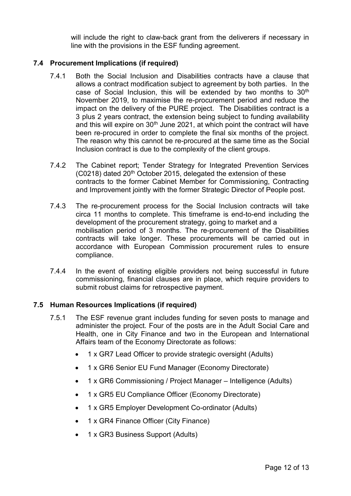will include the right to claw-back grant from the deliverers if necessary in line with the provisions in the ESF funding agreement.

#### **7.4 Procurement Implications (if required)**

- 7.4.1 Both the Social Inclusion and Disabilities contracts have a clause that allows a contract modification subject to agreement by both parties. In the case of Social Inclusion, this will be extended by two months to 30<sup>th</sup> November 2019, to maximise the re-procurement period and reduce the impact on the delivery of the PURE project. The Disabilities contract is a 3 plus 2 years contract, the extension being subject to funding availability and this will expire on 30<sup>th</sup> June 2021, at which point the contract will have been re-procured in order to complete the final six months of the project. The reason why this cannot be re-procured at the same time as the Social Inclusion contract is due to the complexity of the client groups.
- 7.4.2 The Cabinet report; Tender Strategy for Integrated Prevention Services  $(C0218)$  dated 20<sup>th</sup> October 2015, delegated the extension of these contracts to the former Cabinet Member for Commissioning, Contracting and Improvement jointly with the former Strategic Director of People post.
- 7.4.3 The re-procurement process for the Social Inclusion contracts will take circa 11 months to complete. This timeframe is end-to-end including the development of the procurement strategy, going to market and a mobilisation period of 3 months. The re-procurement of the Disabilities contracts will take longer. These procurements will be carried out in accordance with European Commission procurement rules to ensure compliance.
- 7.4.4 In the event of existing eligible providers not being successful in future commissioning, financial clauses are in place, which require providers to submit robust claims for retrospective payment.

#### **7.5 Human Resources Implications (if required)**

- 7.5.1 The ESF revenue grant includes funding for seven posts to manage and administer the project. Four of the posts are in the Adult Social Care and Health, one in City Finance and two in the European and International Affairs team of the Economy Directorate as follows:
	- 1 x GR7 Lead Officer to provide strategic oversight (Adults)
	- 1 x GR6 Senior EU Fund Manager (Economy Directorate)
	- 1 x GR6 Commissioning / Project Manager Intelligence (Adults)
	- 1 x GR5 EU Compliance Officer (Economy Directorate)
	- 1 x GR5 Employer Development Co-ordinator (Adults)
	- 1 x GR4 Finance Officer (City Finance)
	- 1 x GR3 Business Support (Adults)